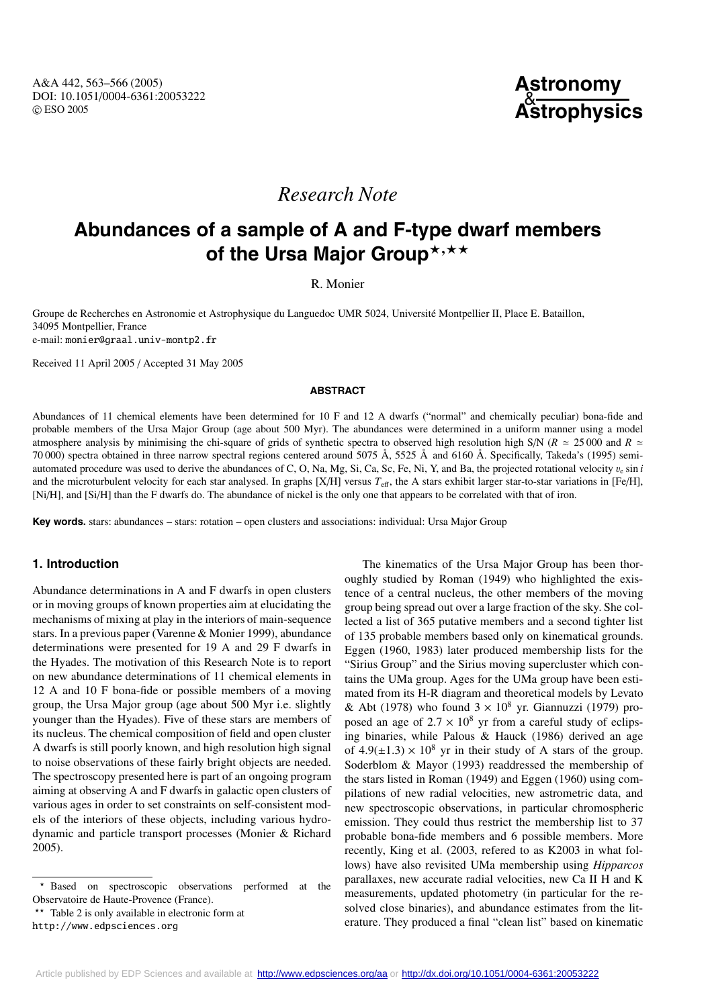## **Astronomy** & **Astrophysics**

# *Research Note*

# **Abundances of a sample of A and F-type dwarf members** of the Ursa Major Group\*,\*\*

## R. Monier

Groupe de Recherches en Astronomie et Astrophysique du Languedoc UMR 5024, Université Montpellier II, Place E. Bataillon, 34095 Montpellier, France e-mail: monier@graal.univ-montp2.fr

Received 11 April 2005 / Accepted 31 May 2005

#### **ABSTRACT**

Abundances of 11 chemical elements have been determined for 10 F and 12 A dwarfs ("normal" and chemically peculiar) bona-fide and probable members of the Ursa Major Group (age about 500 Myr). The abundances were determined in a uniform manner using a model atmosphere analysis by minimising the chi-square of grids of synthetic spectra to observed high resolution high S/N ( $R \approx 25000$  and  $R \approx$ 70 000) spectra obtained in three narrow spectral regions centered around 5075 Å, 5525 Å and 6160 Å. Specifically, Takeda's (1995) semiautomated procedure was used to derive the abundances of C, O, Na, Mg, Si, Ca, Sc, Fe, Ni, Y, and Ba, the projected rotational velocity  $v_{e}$  sin *i* and the microturbulent velocity for each star analysed. In graphs [X/H] versus  $T_{\text{eff}}$ , the A stars exhibit larger star-to-star variations in [Fe/H], [Ni/H], and [Si/H] than the F dwarfs do. The abundance of nickel is the only one that appears to be correlated with that of iron.

**Key words.** stars: abundances – stars: rotation – open clusters and associations: individual: Ursa Major Group

### **1. Introduction**

Abundance determinations in A and F dwarfs in open clusters or in moving groups of known properties aim at elucidating the mechanisms of mixing at play in the interiors of main-sequence stars. In a previous paper (Varenne & Monier 1999), abundance determinations were presented for 19 A and 29 F dwarfs in the Hyades. The motivation of this Research Note is to report on new abundance determinations of 11 chemical elements in 12 A and 10 F bona-fide or possible members of a moving group, the Ursa Major group (age about 500 Myr i.e. slightly younger than the Hyades). Five of these stars are members of its nucleus. The chemical composition of field and open cluster A dwarfs is still poorly known, and high resolution high signal to noise observations of these fairly bright objects are needed. The spectroscopy presented here is part of an ongoing program aiming at observing A and F dwarfs in galactic open clusters of various ages in order to set constraints on self-consistent models of the interiors of these objects, including various hydrodynamic and particle transport processes (Monier & Richard 2005).

\*\* Table 2 is only available in electronic form at

http://www.edpsciences.org

The kinematics of the Ursa Major Group has been thoroughly studied by Roman (1949) who highlighted the existence of a central nucleus, the other members of the moving group being spread out over a large fraction of the sky. She collected a list of 365 putative members and a second tighter list of 135 probable members based only on kinematical grounds. Eggen (1960, 1983) later produced membership lists for the "Sirius Group" and the Sirius moving supercluster which contains the UMa group. Ages for the UMa group have been estimated from its H-R diagram and theoretical models by Levato & Abt (1978) who found  $3 \times 10^8$  yr. Giannuzzi (1979) proposed an age of  $2.7 \times 10^8$  yr from a careful study of eclipsing binaries, while Palous & Hauck (1986) derived an age of  $4.9(\pm 1.3) \times 10^8$  yr in their study of A stars of the group. Soderblom & Mayor (1993) readdressed the membership of the stars listed in Roman (1949) and Eggen (1960) using compilations of new radial velocities, new astrometric data, and new spectroscopic observations, in particular chromospheric emission. They could thus restrict the membership list to 37 probable bona-fide members and 6 possible members. More recently, King et al. (2003, refered to as K2003 in what follows) have also revisited UMa membership using *Hipparcos* parallaxes, new accurate radial velocities, new Ca II H and K measurements, updated photometry (in particular for the resolved close binaries), and abundance estimates from the literature. They produced a final "clean list" based on kinematic

Based on spectroscopic observations performed at the Observatoire de Haute-Provence (France).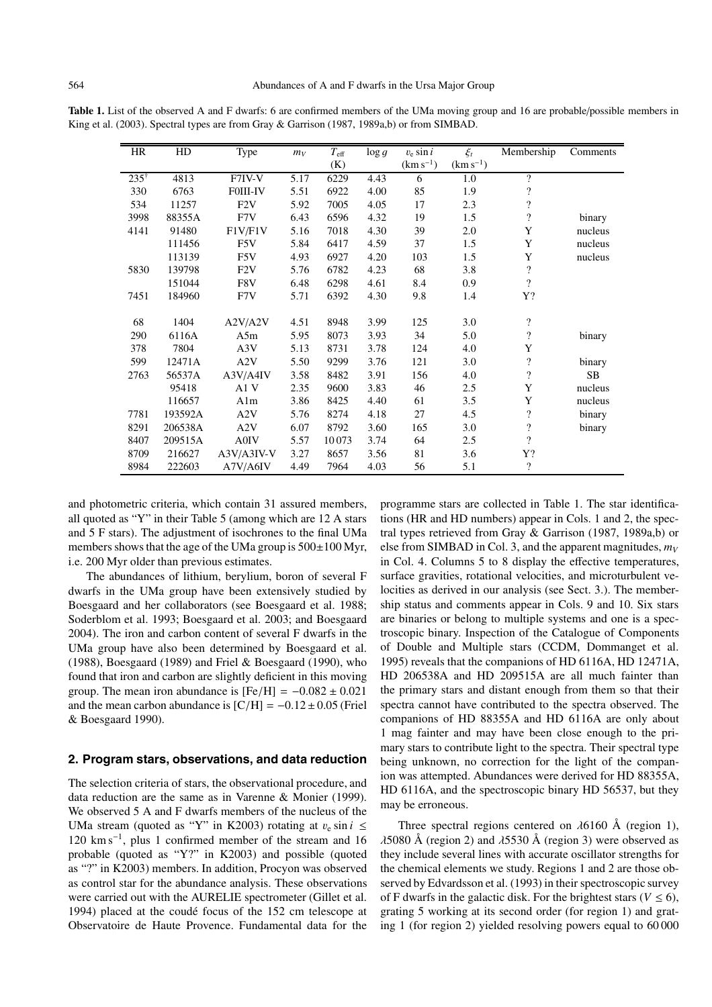| HR              | HD      | Type             | $m_V$ | $T_{\rm eff}$ | $\log g$ | $v_e \sin i$  | $\xi_t$       | Membership               | Comments |
|-----------------|---------|------------------|-------|---------------|----------|---------------|---------------|--------------------------|----------|
|                 |         |                  |       | (K)           |          | $(km s^{-1})$ | $(km s^{-1})$ |                          |          |
| $235^{\dagger}$ | 4813    | F7IV-V           | 5.17  | 6229          | 4.43     | 6             | 1.0           | $\overline{\mathcal{L}}$ |          |
| 330             | 6763    | <b>FOIII-IV</b>  | 5.51  | 6922          | 4.00     | 85            | 1.9           | $\overline{\mathcal{L}}$ |          |
| 534             | 11257   | F2V              | 5.92  | 7005          | 4.05     | 17            | 2.3           | $\overline{\mathcal{L}}$ |          |
| 3998            | 88355A  | F7V              | 6.43  | 6596          | 4.32     | 19            | 1.5           | $\overline{\mathcal{L}}$ | binary   |
| 4141            | 91480   | F1V/F1V          | 5.16  | 7018          | 4.30     | 39            | 2.0           | Y                        | nucleus  |
|                 | 111456  | F <sub>5</sub> V | 5.84  | 6417          | 4.59     | 37            | 1.5           | Y                        | nucleus  |
|                 | 113139  | F5V              | 4.93  | 6927          | 4.20     | 103           | 1.5           | Y                        | nucleus  |
| 5830            | 139798  | F2V              | 5.76  | 6782          | 4.23     | 68            | 3.8           | $\overline{\mathcal{L}}$ |          |
|                 | 151044  | F8V              | 6.48  | 6298          | 4.61     | 8.4           | 0.9           | $\overline{\mathcal{L}}$ |          |
| 7451            | 184960  | F7V              | 5.71  | 6392          | 4.30     | 9.8           | 1.4           | Y?                       |          |
|                 |         |                  |       |               |          |               |               |                          |          |
| 68              | 1404    | A2V/A2V          | 4.51  | 8948          | 3.99     | 125           | 3.0           | $\overline{\cdot}$       |          |
| 290             | 6116A   | A5m              | 5.95  | 8073          | 3.93     | 34            | 5.0           | $\overline{\mathcal{L}}$ | binary   |
| 378             | 7804    | A3V              | 5.13  | 8731          | 3.78     | 124           | 4.0           | Y                        |          |
| 599             | 12471A  | A2V              | 5.50  | 9299          | 3.76     | 121           | 3.0           | $\overline{\mathcal{L}}$ | binary   |
| 2763            | 56537A  | A3V/A4IV         | 3.58  | 8482          | 3.91     | 156           | 4.0           | $\overline{\cdot}$       | SB       |
|                 | 95418   | A1 V             | 2.35  | 9600          | 3.83     | 46            | 2.5           | Y                        | nucleus  |
|                 | 116657  | Alm              | 3.86  | 8425          | 4.40     | 61            | 3.5           | Y                        | nucleus  |
| 7781            | 193592A | A2V              | 5.76  | 8274          | 4.18     | 27            | 4.5           | $\overline{\cdot}$       | binary   |
| 8291            | 206538A | A2V              | 6.07  | 8792          | 3.60     | 165           | 3.0           | $\overline{\mathcal{L}}$ | binary   |
| 8407            | 209515A | A0IV             | 5.57  | 10073         | 3.74     | 64            | 2.5           | $\overline{\mathcal{L}}$ |          |
| 8709            | 216627  | $A3V/A3IV-V$     | 3.27  | 8657          | 3.56     | 81            | 3.6           | Y?                       |          |
| 8984            | 222603  | A7V/A6IV         | 4.49  | 7964          | 4.03     | 56            | 5.1           | $\overline{\mathcal{L}}$ |          |

Table 1. List of the observed A and F dwarfs: 6 are confirmed members of the UMa moving group and 16 are probable/possible members in King et al. (2003). Spectral types are from Gray & Garrison (1987, 1989a,b) or from SIMBAD.

and photometric criteria, which contain 31 assured members, all quoted as "Y" in their Table 5 (among which are 12 A stars and 5 F stars). The adjustment of isochrones to the final UMa members shows that the age of the UMa group is  $500\pm100$  Myr, i.e. 200 Myr older than previous estimates.

The abundances of lithium, berylium, boron of several F dwarfs in the UMa group have been extensively studied by Boesgaard and her collaborators (see Boesgaard et al. 1988; Soderblom et al. 1993; Boesgaard et al. 2003; and Boesgaard 2004). The iron and carbon content of several F dwarfs in the UMa group have also been determined by Boesgaard et al. (1988), Boesgaard (1989) and Friel & Boesgaard (1990), who found that iron and carbon are slightly deficient in this moving group. The mean iron abundance is  $[Fe/H] = -0.082 \pm 0.021$ and the mean carbon abundance is  $[C/H] = -0.12 \pm 0.05$  (Friel & Boesgaard 1990).

#### **2. Program stars, observations, and data reduction**

The selection criteria of stars, the observational procedure, and data reduction are the same as in Varenne & Monier (1999). We observed 5 A and F dwarfs members of the nucleus of the UMa stream (quoted as "Y" in K2003) rotating at  $v_e \sin i \leq$ 120 km s−1, plus 1 confirmed member of the stream and 16 probable (quoted as "Y?" in K2003) and possible (quoted as "?" in K2003) members. In addition, Procyon was observed as control star for the abundance analysis. These observations were carried out with the AURELIE spectrometer (Gillet et al. 1994) placed at the coudé focus of the 152 cm telescope at Observatoire de Haute Provence. Fundamental data for the programme stars are collected in Table 1. The star identifications (HR and HD numbers) appear in Cols. 1 and 2, the spectral types retrieved from Gray & Garrison (1987, 1989a,b) or else from SIMBAD in Col. 3, and the apparent magnitudes,  $m_V$ in Col. 4. Columns 5 to 8 display the effective temperatures, surface gravities, rotational velocities, and microturbulent velocities as derived in our analysis (see Sect. 3.). The membership status and comments appear in Cols. 9 and 10. Six stars are binaries or belong to multiple systems and one is a spectroscopic binary. Inspection of the Catalogue of Components of Double and Multiple stars (CCDM, Dommanget et al. 1995) reveals that the companions of HD 6116A, HD 12471A, HD 206538A and HD 209515A are all much fainter than the primary stars and distant enough from them so that their spectra cannot have contributed to the spectra observed. The companions of HD 88355A and HD 6116A are only about 1 mag fainter and may have been close enough to the primary stars to contribute light to the spectra. Their spectral type being unknown, no correction for the light of the companion was attempted. Abundances were derived for HD 88355A, HD 6116A, and the spectroscopic binary HD 56537, but they may be erroneous.

Three spectral regions centered on  $\lambda$ 6160 Å (region 1),  $\lambda$ 5080 Å (region 2) and  $\lambda$ 5530 Å (region 3) were observed as they include several lines with accurate oscillator strengths for the chemical elements we study. Regions 1 and 2 are those observed by Edvardsson et al. (1993) in their spectroscopic survey of F dwarfs in the galactic disk. For the brightest stars ( $V \le 6$ ), grating 5 working at its second order (for region 1) and grating 1 (for region 2) yielded resolving powers equal to 60 000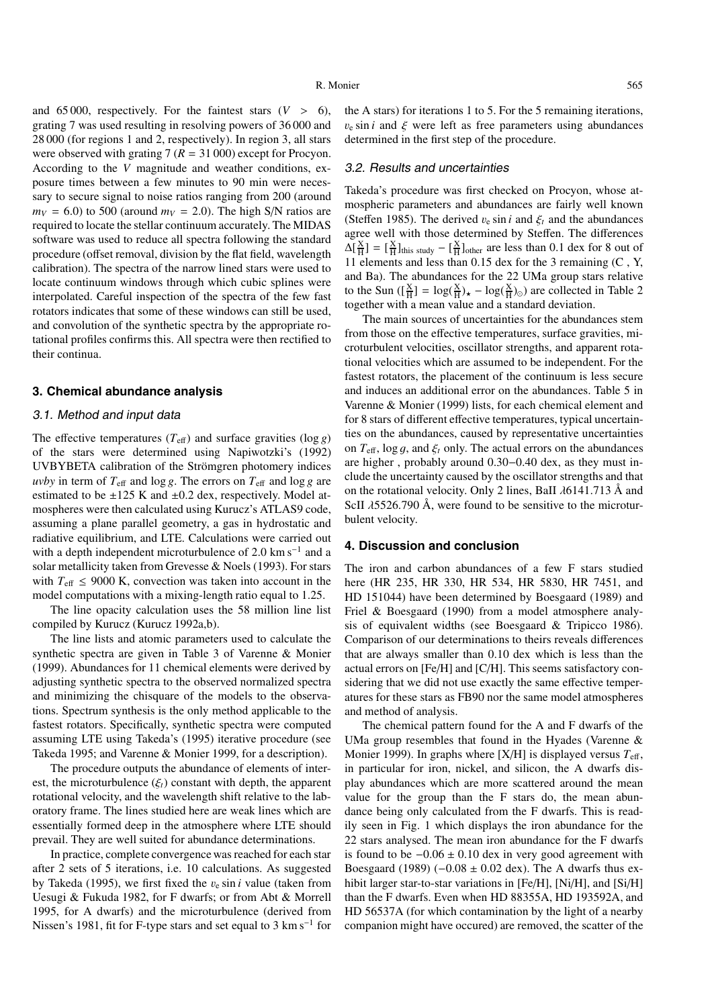and 65000, respectively. For the faintest stars  $(V > 6)$ , grating 7 was used resulting in resolving powers of 36 000 and 28 000 (for regions 1 and 2, respectively). In region 3, all stars were observed with grating  $7 (R = 31000)$  except for Procyon. According to the *V* magnitude and weather conditions, exposure times between a few minutes to 90 min were necessary to secure signal to noise ratios ranging from 200 (around  $m_V = 6.0$ ) to 500 (around  $m_V = 2.0$ ). The high S/N ratios are required to locate the stellar continuum accurately. The MIDAS software was used to reduce all spectra following the standard procedure (offset removal, division by the flat field, wavelength calibration). The spectra of the narrow lined stars were used to locate continuum windows through which cubic splines were interpolated. Careful inspection of the spectra of the few fast rotators indicates that some of these windows can still be used, and convolution of the synthetic spectra by the appropriate rotational profiles confirms this. All spectra were then rectified to their continua.

#### **3. Chemical abundance analysis**

#### 3.1. Method and input data

The effective temperatures  $(T_{\text{eff}})$  and surface gravities  $(\log g)$ of the stars were determined using Napiwotzki's (1992) UVBYBETA calibration of the Strömgren photomery indices *uvby* in term of  $T_{\text{eff}}$  and log *g*. The errors on  $T_{\text{eff}}$  and log *g* are estimated to be  $\pm 125$  K and  $\pm 0.2$  dex, respectively. Model atmospheres were then calculated using Kurucz's ATLAS9 code, assuming a plane parallel geometry, a gas in hydrostatic and radiative equilibrium, and LTE. Calculations were carried out with a depth independent microturbulence of 2.0 km s<sup> $-1$ </sup> and a solar metallicity taken from Grevesse & Noels (1993). For stars with  $T_{\text{eff}} \leq 9000 \text{ K}$ , convection was taken into account in the model computations with a mixing-length ratio equal to 1.25.

The line opacity calculation uses the 58 million line list compiled by Kurucz (Kurucz 1992a,b).

The line lists and atomic parameters used to calculate the synthetic spectra are given in Table 3 of Varenne & Monier (1999). Abundances for 11 chemical elements were derived by adjusting synthetic spectra to the observed normalized spectra and minimizing the chisquare of the models to the observations. Spectrum synthesis is the only method applicable to the fastest rotators. Specifically, synthetic spectra were computed assuming LTE using Takeda's (1995) iterative procedure (see Takeda 1995; and Varenne & Monier 1999, for a description).

The procedure outputs the abundance of elements of interest, the microturbulence  $(\xi_t)$  constant with depth, the apparent rotational velocity, and the wavelength shift relative to the laboratory frame. The lines studied here are weak lines which are essentially formed deep in the atmosphere where LTE should prevail. They are well suited for abundance determinations.

In practice, complete convergence was reached for each star after 2 sets of 5 iterations, i.e. 10 calculations. As suggested by Takeda (1995), we first fixed the  $v_e \sin i$  value (taken from Uesugi & Fukuda 1982, for F dwarfs; or from Abt & Morrell 1995, for A dwarfs) and the microturbulence (derived from Nissen's 1981, fit for F-type stars and set equal to 3 km s<sup>-1</sup> for

the A stars) for iterations 1 to 5. For the 5 remaining iterations,  $v_e \sin i$  and  $\xi$  were left as free parameters using abundances determined in the first step of the procedure.

#### 3.2. Results and uncertainties

Takeda's procedure was first checked on Procyon, whose atmospheric parameters and abundances are fairly well known (Steffen 1985). The derived  $v_e \sin i$  and  $\xi_t$  and the abundances agree well with those determined by Steffen. The differences  $\Delta[\frac{X}{H}] = [\frac{X}{H}]_{\text{this study}} - [\frac{X}{H}]_{\text{other}}$  are less than 0.1 dex for 8 out of 11 elements and less than 0.15 dex for the 3 remaining (C , Y, and Ba). The abundances for the 22 UMa group stars relative to the Sun  $(\frac{X}{H}) = \log(\frac{X}{H})_{\star} - \log(\frac{X}{H})_{\odot}$  are collected in Table 2 together with a mean value and a standard deviation.

The main sources of uncertainties for the abundances stem from those on the effective temperatures, surface gravities, microturbulent velocities, oscillator strengths, and apparent rotational velocities which are assumed to be independent. For the fastest rotators, the placement of the continuum is less secure and induces an additional error on the abundances. Table 5 in Varenne & Monier (1999) lists, for each chemical element and for 8 stars of different effective temperatures, typical uncertainties on the abundances, caused by representative uncertainties on  $T_{\text{eff}}$ , log g, and  $\xi_t$  only. The actual errors on the abundances are higher , probably around 0.30−0.40 dex, as they must include the uncertainty caused by the oscillator strengths and that on the rotational velocity. Only 2 lines, BaII  $\lambda$ 6141.713 Å and ScII  $\lambda$ 5526.790 Å, were found to be sensitive to the microturbulent velocity.

#### **4. Discussion and conclusion**

The iron and carbon abundances of a few F stars studied here (HR 235, HR 330, HR 534, HR 5830, HR 7451, and HD 151044) have been determined by Boesgaard (1989) and Friel & Boesgaard (1990) from a model atmosphere analysis of equivalent widths (see Boesgaard & Tripicco 1986). Comparison of our determinations to theirs reveals differences that are always smaller than 0.10 dex which is less than the actual errors on [Fe/H] and [C/H]. This seems satisfactory considering that we did not use exactly the same effective temperatures for these stars as FB90 nor the same model atmospheres and method of analysis.

The chemical pattern found for the A and F dwarfs of the UMa group resembles that found in the Hyades (Varenne & Monier 1999). In graphs where  $[X/H]$  is displayed versus  $T_{\text{eff}}$ , in particular for iron, nickel, and silicon, the A dwarfs display abundances which are more scattered around the mean value for the group than the F stars do, the mean abundance being only calculated from the F dwarfs. This is readily seen in Fig. 1 which displays the iron abundance for the 22 stars analysed. The mean iron abundance for the F dwarfs is found to be  $-0.06 \pm 0.10$  dex in very good agreement with Boesgaard (1989) ( $-0.08 \pm 0.02$  dex). The A dwarfs thus exhibit larger star-to-star variations in [Fe/H], [Ni/H], and [Si/H] than the F dwarfs. Even when HD 88355A, HD 193592A, and HD 56537A (for which contamination by the light of a nearby companion might have occured) are removed, the scatter of the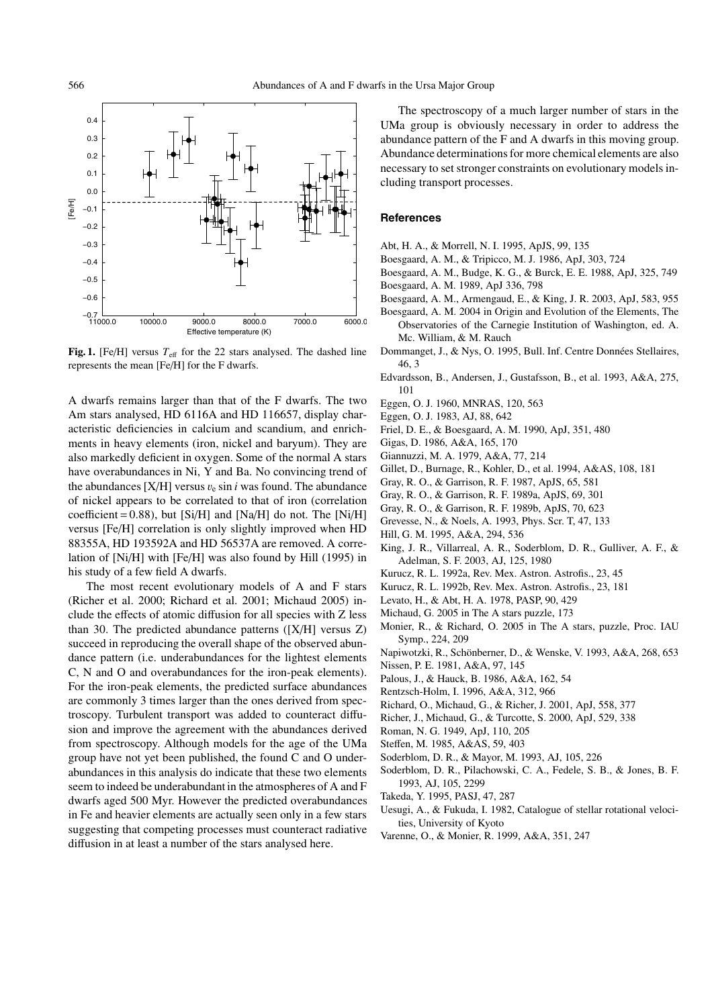

**Fig. 1.** [Fe/H] versus  $T_{\text{eff}}$  for the 22 stars analysed. The dashed line represents the mean [Fe/H] for the F dwarfs.

A dwarfs remains larger than that of the F dwarfs. The two Am stars analysed, HD 6116A and HD 116657, display characteristic deficiencies in calcium and scandium, and enrichments in heavy elements (iron, nickel and baryum). They are also markedly deficient in oxygen. Some of the normal A stars have overabundances in Ni, Y and Ba. No convincing trend of the abundances  $[X/H]$  versus  $v_e \sin i$  was found. The abundance of nickel appears to be correlated to that of iron (correlation coefficient =  $0.88$ ), but [Si/H] and [Na/H] do not. The [Ni/H] versus [Fe/H] correlation is only slightly improved when HD 88355A, HD 193592A and HD 56537A are removed. A correlation of [Ni/H] with [Fe/H] was also found by Hill (1995) in his study of a few field A dwarfs.

The most recent evolutionary models of A and F stars (Richer et al. 2000; Richard et al. 2001; Michaud 2005) include the effects of atomic diffusion for all species with Z less than 30. The predicted abundance patterns  $([X/H]$  versus Z) succeed in reproducing the overall shape of the observed abundance pattern (i.e. underabundances for the lightest elements C, N and O and overabundances for the iron-peak elements). For the iron-peak elements, the predicted surface abundances are commonly 3 times larger than the ones derived from spectroscopy. Turbulent transport was added to counteract diffusion and improve the agreement with the abundances derived from spectroscopy. Although models for the age of the UMa group have not yet been published, the found C and O underabundances in this analysis do indicate that these two elements seem to indeed be underabundant in the atmospheres of A and F dwarfs aged 500 Myr. However the predicted overabundances in Fe and heavier elements are actually seen only in a few stars suggesting that competing processes must counteract radiative diffusion in at least a number of the stars analysed here.

The spectroscopy of a much larger number of stars in the UMa group is obviously necessary in order to address the abundance pattern of the F and A dwarfs in this moving group. Abundance determinations for more chemical elements are also necessary to set stronger constraints on evolutionary models including transport processes.

#### **References**

- Abt, H. A., & Morrell, N. I. 1995, ApJS, 99, 135
- Boesgaard, A. M., & Tripicco, M. J. 1986, ApJ, 303, 724
- Boesgaard, A. M., Budge, K. G., & Burck, E. E. 1988, ApJ, 325, 749
- Boesgaard, A. M. 1989, ApJ 336, 798 Boesgaard, A. M., Armengaud, E., & King, J. R. 2003, ApJ, 583, 955
- 
- Boesgaard, A. M. 2004 in Origin and Evolution of the Elements, The Observatories of the Carnegie Institution of Washington, ed. A. Mc. William, & M. Rauch
- Dommanget, J., & Nys, O. 1995, Bull. Inf. Centre Données Stellaires, 46, 3
- Edvardsson, B., Andersen, J., Gustafsson, B., et al. 1993, A&A, 275, 101
- Eggen, O. J. 1960, MNRAS, 120, 563
- Eggen, O. J. 1983, AJ, 88, 642
- Friel, D. E., & Boesgaard, A. M. 1990, ApJ, 351, 480
- Gigas, D. 1986, A&A, 165, 170
- Giannuzzi, M. A. 1979, A&A, 77, 214
- Gillet, D., Burnage, R., Kohler, D., et al. 1994, A&AS, 108, 181
- Gray, R. O., & Garrison, R. F. 1987, ApJS, 65, 581
- Gray, R. O., & Garrison, R. F. 1989a, ApJS, 69, 301
- Gray, R. O., & Garrison, R. F. 1989b, ApJS, 70, 623
- Grevesse, N., & Noels, A. 1993, Phys. Scr. T, 47, 133
- Hill, G. M. 1995, A&A, 294, 536
- King, J. R., Villarreal, A. R., Soderblom, D. R., Gulliver, A. F., & Adelman, S. F. 2003, AJ, 125, 1980
- Kurucz, R. L. 1992a, Rev. Mex. Astron. Astrofis., 23, 45
- Kurucz, R. L. 1992b, Rev. Mex. Astron. Astrofis., 23, 181
- Levato, H., & Abt, H. A. 1978, PASP, 90, 429
- Michaud, G. 2005 in The A stars puzzle, 173
- Monier, R., & Richard, O. 2005 in The A stars, puzzle, Proc. IAU Symp., 224, 209

Napiwotzki, R., Schönberner, D., & Wenske, V. 1993, A&A, 268, 653

- Nissen, P. E. 1981, A&A, 97, 145
- Palous, J., & Hauck, B. 1986, A&A, 162, 54
- Rentzsch-Holm, I. 1996, A&A, 312, 966
- Richard, O., Michaud, G., & Richer, J. 2001, ApJ, 558, 377
- Richer, J., Michaud, G., & Turcotte, S. 2000, ApJ, 529, 338
- Roman, N. G. 1949, ApJ, 110, 205
- Steffen, M. 1985, A&AS, 59, 403
- Soderblom, D. R., & Mayor, M. 1993, AJ, 105, 226
- Soderblom, D. R., Pilachowski, C. A., Fedele, S. B., & Jones, B. F. 1993, AJ, 105, 2299
- Takeda, Y. 1995, PASJ, 47, 287
- Uesugi, A., & Fukuda, I. 1982, Catalogue of stellar rotational velocities, University of Kyoto
- Varenne, O., & Monier, R. 1999, A&A, 351, 247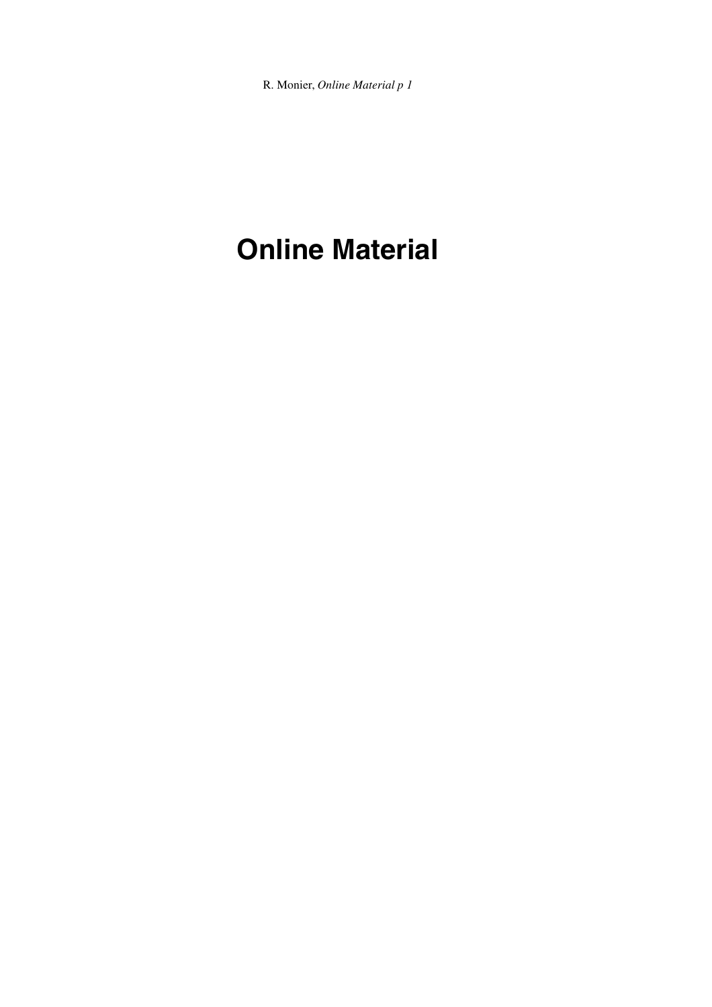R. Monier, *Online Material p 1*

# **Online Material**